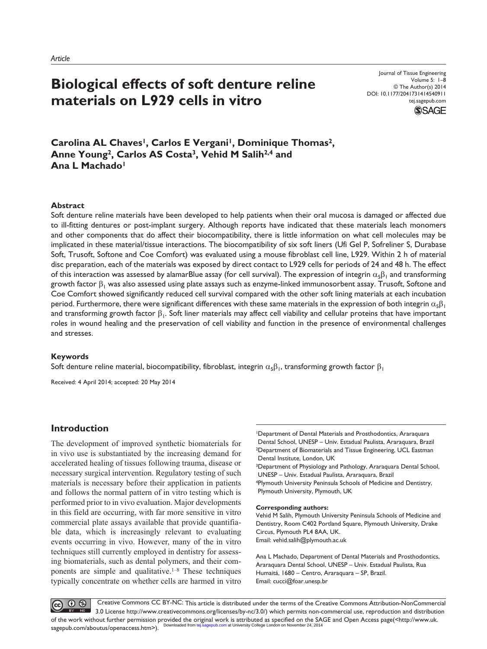# **Biological effects of soft denture reline materials on L929 cells in vitro**

Journal of Tissue Engineering Volume 5: 1–8 © The Author(s) 2014 DOI: 10.1177/2041731414540911 tej.sagepub.com **SSAGE** 

Carolina AL Chaves<sup>1</sup>, Carlos E Vergani<sup>1</sup>, Dominique Thomas<sup>2</sup>, **Anne Young2, Carlos AS Costa3, Vehid M Salih2,4 and**  Ana L Machado<sup>1</sup>

#### **Abstract**

Soft denture reline materials have been developed to help patients when their oral mucosa is damaged or affected due to ill-fitting dentures or post-implant surgery. Although reports have indicated that these materials leach monomers and other components that do affect their biocompatibility, there is little information on what cell molecules may be implicated in these material/tissue interactions. The biocompatibility of six soft liners (Ufi Gel P, Sofreliner S, Durabase Soft, Trusoft, Softone and Coe Comfort) was evaluated using a mouse fibroblast cell line, L929. Within 2 h of material disc preparation, each of the materials was exposed by direct contact to L929 cells for periods of 24 and 48 h. The effect of this interaction was assessed by alamarBlue assay (for cell survival). The expression of integrin  $\alpha_5\beta_1$  and transforming growth factor  $\beta_1$  was also assessed using plate assays such as enzyme-linked immunosorbent assay. Trusoft, Softone and Coe Comfort showed significantly reduced cell survival compared with the other soft lining materials at each incubation period. Furthermore, there were significant differences with these same materials in the expression of both integrin  $\alpha_5\beta_1$ and transforming growth factor  $\beta_1$ . Soft liner materials may affect cell viability and cellular proteins that have important roles in wound healing and the preservation of cell viability and function in the presence of environmental challenges and stresses.

#### **Keywords**

Soft denture reline material, biocompatibility, fibroblast, integrin  $\alpha_5\beta_1$ , transforming growth factor  $\beta_1$ 

Received: 4 April 2014; accepted: 20 May 2014

# **Introduction**

The development of improved synthetic biomaterials for in vivo use is substantiated by the increasing demand for accelerated healing of tissues following trauma, disease or necessary surgical intervention. Regulatory testing of such materials is necessary before their application in patients and follows the normal pattern of in vitro testing which is performed prior to in vivo evaluation. Major developments in this field are occurring, with far more sensitive in vitro commercial plate assays available that provide quantifiable data, which is increasingly relevant to evaluating events occurring in vivo. However, many of the in vitro techniques still currently employed in dentistry for assessing biomaterials, such as dental polymers, and their components are simple and qualitative.1–8 These techniques typically concentrate on whether cells are harmed in vitro 1Department of Dental Materials and Prosthodontics, Araraquara Dental School, UNESP – Univ. Estadual Paulista, Araraquara, Brazil 2Department of Biomaterials and Tissue Engineering, UCL Eastman Dental Institute, London, UK

<sup>3</sup>Department of Physiology and Pathology, Araraquara Dental School, UNESP – Univ. Estadual Paulista, Araraquara, Brazil

4Plymouth University Peninsula Schools of Medicine and Dentistry, Plymouth University, Plymouth, UK

#### **Corresponding authors:**

Vehid M Salih, Plymouth University Peninsula Schools of Medicine and Dentistry, Room C402 Portland Square, Plymouth University, Drake Circus, Plymouth PL4 8AA, UK. Email: vehid.salih@plymouth.ac.uk

Ana L Machado, Department of Dental Materials and Prosthodontics, Araraquara Dental School, UNESP – Univ. Estadual Paulista, Rua Humaitá, 1680 – Centro, Araraquara – SP, Brazil. Email: cucci@foar.unesp.br

 $\odot$   $\odot$  Creative Commons CC BY-NC: This article is distributed under the terms of the Creative Commons Attribution-NonCommercial 3.0 License http://www.creativecommons.org/licenses/by-nc/3.0/) which permits non-commercial use, reproduction and distribution of the work without further permission provided the original work is attributed as specified on the SAGE and Open Access page(<http://www.uk. <mark>m</mark> at University College London on November 24, 2014 sagepub.com/aboutus/openaccess.htm>).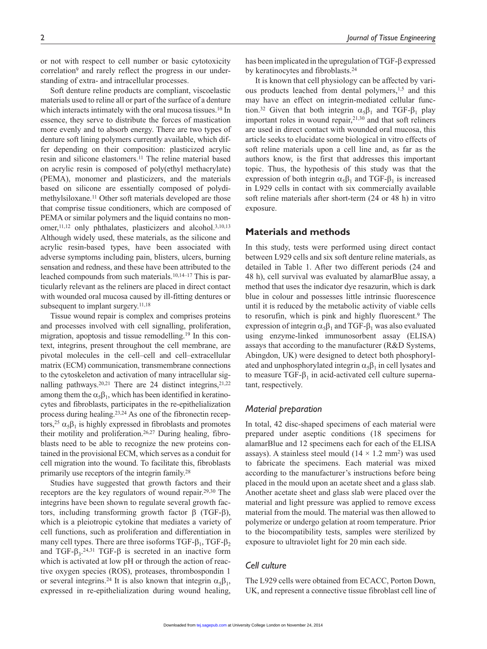or not with respect to cell number or basic cytotoxicity correlation<sup>9</sup> and rarely reflect the progress in our understanding of extra- and intracellular processes.

Soft denture reline products are compliant, viscoelastic materials used to reline all or part of the surface of a denture which interacts intimately with the oral mucosa tissues.<sup>10</sup> In essence, they serve to distribute the forces of mastication more evenly and to absorb energy. There are two types of denture soft lining polymers currently available, which differ depending on their composition: plasticized acrylic resin and silicone elastomers.11 The reline material based on acrylic resin is composed of poly(ethyl methacrylate) (PEMA), monomer and plasticizers, and the materials based on silicone are essentially composed of polydimethylsiloxane.11 Other soft materials developed are those that comprise tissue conditioners, which are composed of PEMA or similar polymers and the liquid contains no monomer,<sup>11,12</sup> only phthalates, plasticizers and alcohol.<sup>3,10,13</sup> Although widely used, these materials, as the silicone and acrylic resin-based types, have been associated with adverse symptoms including pain, blisters, ulcers, burning sensation and redness, and these have been attributed to the leached compounds from such materials.10,14–17 This is particularly relevant as the reliners are placed in direct contact with wounded oral mucosa caused by ill-fitting dentures or subsequent to implant surgery.<sup>11,18</sup>

Tissue wound repair is complex and comprises proteins and processes involved with cell signalling, proliferation, migration, apoptosis and tissue remodelling.19 In this context, integrins, present throughout the cell membrane, are pivotal molecules in the cell–cell and cell–extracellular matrix (ECM) communication, transmembrane connections to the cytoskeleton and activation of many intracellular signalling pathways.<sup>20,21</sup> There are 24 distinct integrins,<sup>21,22</sup> among them the  $\alpha_5\beta_1$ , which has been identified in keratinocytes and fibroblasts, participates in the re-epithelialization process during healing.23,24 As one of the fibronectin receptors,<sup>25</sup>  $\alpha_5\beta_1$  is highly expressed in fibroblasts and promotes their motility and proliferation.<sup>26,27</sup> During healing, fibroblasts need to be able to recognize the new proteins contained in the provisional ECM, which serves as a conduit for cell migration into the wound. To facilitate this, fibroblasts primarily use receptors of the integrin family.28

Studies have suggested that growth factors and their receptors are the key regulators of wound repair.29,30 The integrins have been shown to regulate several growth factors, including transforming growth factor β (TGF-β), which is a pleiotropic cytokine that mediates a variety of cell functions, such as proliferation and differentiation in many cell types. There are three isoforms TGF- $\beta_1$ , TGF- $\beta_2$ and TGF- $\beta_3$ .<sup>24,31</sup> TGF- $\beta$  is secreted in an inactive form which is activated at low pH or through the action of reactive oxygen species (ROS), proteases, thrombospondin 1 or several integrins.<sup>24</sup> It is also known that integrin  $\alpha_5\beta_1$ , expressed in re-epithelialization during wound healing,

has been implicated in the upregulation of TGF-β expressed by keratinocytes and fibroblasts.<sup>24</sup>

It is known that cell physiology can be affected by various products leached from dental polymers,<sup>1,5</sup> and this may have an effect on integrin-mediated cellular function.<sup>32</sup> Given that both integrin  $\alpha_5\beta_1$  and TGF- $\beta_1$  play important roles in wound repair,21,30 and that soft reliners are used in direct contact with wounded oral mucosa, this article seeks to elucidate some biological in vitro effects of soft reline materials upon a cell line and, as far as the authors know, is the first that addresses this important topic. Thus, the hypothesis of this study was that the expression of both integrin  $\alpha_5\beta_1$  and TGF- $\beta_1$  is increased in L929 cells in contact with six commercially available soft reline materials after short-term (24 or 48 h) in vitro exposure.

# **Materials and methods**

In this study, tests were performed using direct contact between L929 cells and six soft denture reline materials, as detailed in Table 1. After two different periods (24 and 48 h), cell survival was evaluated by alamarBlue assay, a method that uses the indicator dye resazurin, which is dark blue in colour and possesses little intrinsic fluorescence until it is reduced by the metabolic activity of viable cells to resorufin, which is pink and highly fluorescent.<sup>9</sup> The expression of integrin  $\alpha_5\beta_1$  and TGF- $\beta_1$  was also evaluated using enzyme-linked immunosorbent assay (ELISA) assays that according to the manufacturer (R&D Systems, Abingdon, UK) were designed to detect both phosphorylated and unphosphorylated integrin  $\alpha_5\beta_1$  in cell lysates and to measure  $TGF- $\beta_1$  in acid-activated cell culture superna$ tant, respectively.

# *Material preparation*

In total, 42 disc-shaped specimens of each material were prepared under aseptic conditions (18 specimens for alamarBlue and 12 specimens each for each of the ELISA assays). A stainless steel mould  $(14 \times 1.2 \text{ mm}^2)$  was used to fabricate the specimens. Each material was mixed according to the manufacturer's instructions before being placed in the mould upon an acetate sheet and a glass slab. Another acetate sheet and glass slab were placed over the material and light pressure was applied to remove excess material from the mould. The material was then allowed to polymerize or undergo gelation at room temperature. Prior to the biocompatibility tests, samples were sterilized by exposure to ultraviolet light for 20 min each side.

# *Cell culture*

The L929 cells were obtained from ECACC, Porton Down, UK, and represent a connective tissue fibroblast cell line of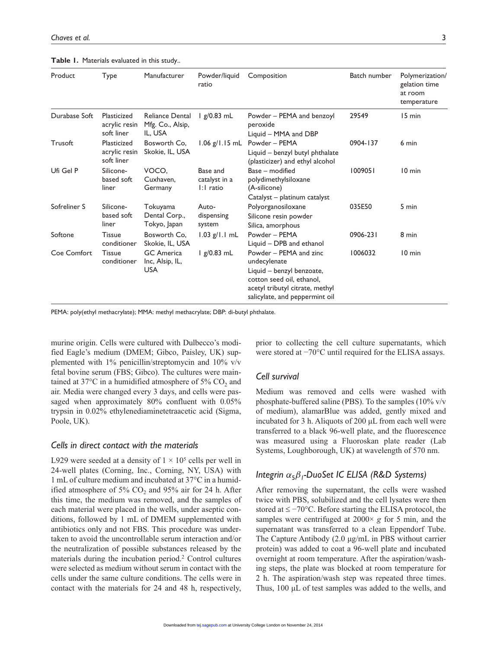**Table 1.** Materials evaluated in this study..

| Product       | Type                                       | Manufacturer                                       | Powder/liquid<br>ratio                 | Composition                                                                                                                                                           | Batch number | Polymerization/<br>gelation time<br>at room<br>temperature |
|---------------|--------------------------------------------|----------------------------------------------------|----------------------------------------|-----------------------------------------------------------------------------------------------------------------------------------------------------------------------|--------------|------------------------------------------------------------|
| Durabase Soft | Plasticized<br>acrylic resin<br>soft liner | Reliance Dental<br>Mfg. Co., Alsip,<br>IL, USA     | $lg/0.83$ mL                           | Powder – PEMA and benzoyl<br>peroxide<br>Liquid - MMA and DBP                                                                                                         | 29549        | 15 min                                                     |
| Trusoft       | Plasticized<br>acrylic resin<br>soft liner | Bosworth Co,<br>Skokie, IL, USA                    | $1.06$ g/ $1.15$ mL                    | Powder - PEMA<br>Liquid - benzyl butyl phthalate<br>(plasticizer) and ethyl alcohol                                                                                   | 0904-137     | 6 min                                                      |
| Ufi Gel P     | Silicone-<br>based soft<br>liner           | VOCO,<br>Cuxhaven,<br>Germany                      | Base and<br>catalyst in a<br>I:I ratio | Base - modified<br>polydimethylsiloxane<br>(A-silicone)<br>Catalyst – platinum catalyst                                                                               | 1009051      | 10 min                                                     |
| Sofreliner S  | Silicone-<br>based soft<br>liner           | Tokuyama<br>Dental Corp.,<br>Tokyo, Japan          | Auto-<br>dispensing<br>system          | Polyorganosiloxane<br>Silicone resin powder<br>Silica, amorphous                                                                                                      | 035E50       | 5 min                                                      |
| Softone       | <b>Tissue</b><br>conditioner               | Bosworth Co,<br>Skokie, IL, USA                    | $1.03$ g/l.l mL                        | Powder - PEMA<br>Liquid - DPB and ethanol                                                                                                                             | 0906-231     | 8 min                                                      |
| Coe Comfort   | <b>Tissue</b><br>conditioner               | <b>GC</b> America<br>Inc, Alsip, IL,<br><b>USA</b> | $lg/0.83$ mL                           | Powder - PEMA and zinc<br>undecylenate<br>Liquid - benzyl benzoate,<br>cotton seed oil, ethanol,<br>acetyl tributyl citrate, methyl<br>salicylate, and peppermint oil | 1006032      | 10 min                                                     |

PEMA: poly(ethyl methacrylate); MMA: methyl methacrylate; DBP: di-butyl phthalate.

murine origin. Cells were cultured with Dulbecco's modified Eagle's medium (DMEM; Gibco, Paisley, UK) supplemented with 1% penicillin/streptomycin and 10% v/v fetal bovine serum (FBS; Gibco). The cultures were maintained at 37 $\degree$ C in a humidified atmosphere of 5% CO<sub>2</sub> and air. Media were changed every 3 days, and cells were passaged when approximately 80% confluent with 0.05% trypsin in 0.02% ethylenediaminetetraacetic acid (Sigma, Poole, UK).

# *Cells in direct contact with the materials*

L929 were seeded at a density of  $1 \times 10^5$  cells per well in 24-well plates (Corning, Inc., Corning, NY, USA) with 1 mL of culture medium and incubated at 37°C in a humidified atmosphere of  $5\%$  CO<sub>2</sub> and  $95\%$  air for 24 h. After this time, the medium was removed, and the samples of each material were placed in the wells, under aseptic conditions, followed by 1 mL of DMEM supplemented with antibiotics only and not FBS. This procedure was undertaken to avoid the uncontrollable serum interaction and/or the neutralization of possible substances released by the materials during the incubation period.2 Control cultures were selected as medium without serum in contact with the cells under the same culture conditions. The cells were in contact with the materials for 24 and 48 h, respectively,

prior to collecting the cell culture supernatants, which were stored at −70°C until required for the ELISA assays.

# *Cell survival*

Medium was removed and cells were washed with phosphate-buffered saline (PBS). To the samples  $(10\% \text{ v/v})$ of medium), alamarBlue was added, gently mixed and incubated for 3 h. Aliquots of 200 µL from each well were transferred to a black 96-well plate, and the fluorescence was measured using a Fluoroskan plate reader (Lab Systems, Loughborough, UK) at wavelength of 570 nm.

# *Integrin α*5*β1-DuoSet IC ELISA (R&D Systems)*

After removing the supernatant, the cells were washed twice with PBS, solubilized and the cell lysates were then stored at ≤ −70°C. Before starting the ELISA protocol, the samples were centrifuged at  $2000 \times g$  for 5 min, and the supernatant was transferred to a clean Eppendorf Tube. The Capture Antibody (2.0 µg/mL in PBS without carrier protein) was added to coat a 96-well plate and incubated overnight at room temperature. After the aspiration/washing steps, the plate was blocked at room temperature for 2 h. The aspiration/wash step was repeated three times. Thus, 100 µL of test samples was added to the wells, and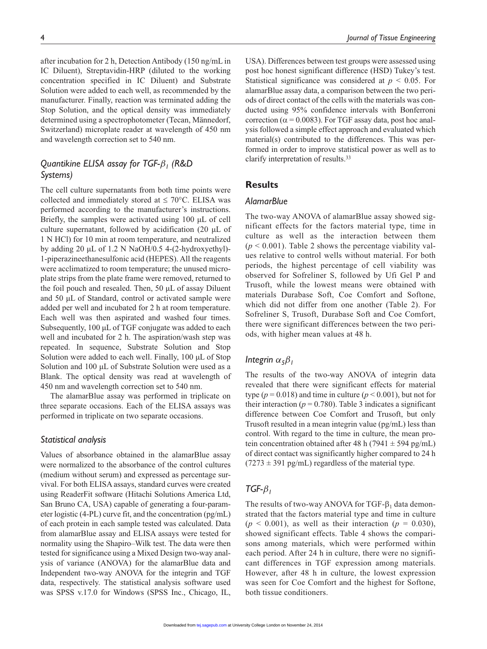after incubation for 2 h, Detection Antibody (150 ng/mL in IC Diluent), Streptavidin-HRP (diluted to the working concentration specified in IC Diluent) and Substrate Solution were added to each well, as recommended by the manufacturer. Finally, reaction was terminated adding the Stop Solution, and the optical density was immediately determined using a spectrophotometer (Tecan, Männedorf, Switzerland) microplate reader at wavelength of 450 nm and wavelength correction set to 540 nm.

# *Quantikine ELISA assay for TGF-β1 (R&D Systems)*

The cell culture supernatants from both time points were collected and immediately stored at  $\leq 70^{\circ}$ C. ELISA was performed according to the manufacturer's instructions. Briefly, the samples were activated using 100 µL of cell culture supernatant, followed by acidification (20 µL of 1 N HCl) for 10 min at room temperature, and neutralized by adding 20 µL of 1.2 N NaOH/0.5 4-(2-hydroxyethyl)- 1-piperazineethanesulfonic acid (HEPES). All the reagents were acclimatized to room temperature; the unused microplate strips from the plate frame were removed, returned to the foil pouch and resealed. Then, 50 µL of assay Diluent and 50 µL of Standard, control or activated sample were added per well and incubated for 2 h at room temperature. Each well was then aspirated and washed four times. Subsequently, 100 µL of TGF conjugate was added to each well and incubated for 2 h. The aspiration/wash step was repeated. In sequence, Substrate Solution and Stop Solution were added to each well. Finally, 100 µL of Stop Solution and 100 µL of Substrate Solution were used as a Blank. The optical density was read at wavelength of 450 nm and wavelength correction set to 540 nm.

The alamarBlue assay was performed in triplicate on three separate occasions. Each of the ELISA assays was performed in triplicate on two separate occasions.

#### *Statistical analysis*

Values of absorbance obtained in the alamarBlue assay were normalized to the absorbance of the control cultures (medium without serum) and expressed as percentage survival. For both ELISA assays, standard curves were created using ReaderFit software (Hitachi Solutions America Ltd, San Bruno CA, USA) capable of generating a four-parameter logistic (4-PL) curve fit, and the concentration (pg/mL) of each protein in each sample tested was calculated. Data from alamarBlue assay and ELISA assays were tested for normality using the Shapiro–Wilk test. The data were then tested for significance using a Mixed Design two-way analysis of variance (ANOVA) for the alamarBlue data and Independent two-way ANOVA for the integrin and TGF data, respectively. The statistical analysis software used was SPSS v.17.0 for Windows (SPSS Inc., Chicago, IL,

USA). Differences between test groups were assessed using post hoc honest significant difference (HSD) Tukey's test. Statistical significance was considered at *p* < 0.05. For alamarBlue assay data, a comparison between the two periods of direct contact of the cells with the materials was conducted using 95% confidence intervals with Bonferroni correction ( $\alpha$  = 0.0083). For TGF assay data, post hoc analysis followed a simple effect approach and evaluated which material(s) contributed to the differences. This was performed in order to improve statistical power as well as to clarify interpretation of results.33

# **Results**

# *AlamarBlue*

The two-way ANOVA of alamarBlue assay showed significant effects for the factors material type, time in culture as well as the interaction between them  $(p < 0.001)$ . Table 2 shows the percentage viability values relative to control wells without material. For both periods, the highest percentage of cell viability was observed for Sofreliner S, followed by Ufi Gel P and Trusoft, while the lowest means were obtained with materials Durabase Soft, Coe Comfort and Softone, which did not differ from one another (Table 2). For Sofreliner S, Trusoft, Durabase Soft and Coe Comfort, there were significant differences between the two periods, with higher mean values at 48 h.

# *Integrin*  $\alpha_5\beta_1$

The results of the two-way ANOVA of integrin data revealed that there were significant effects for material type ( $p = 0.018$ ) and time in culture ( $p \le 0.001$ ), but not for their interaction ( $p = 0.780$ ). Table 3 indicates a significant difference between Coe Comfort and Trusoft, but only Trusoft resulted in a mean integrin value (pg/mL) less than control. With regard to the time in culture, the mean protein concentration obtained after 48 h (7941  $\pm$  594 pg/mL) of direct contact was significantly higher compared to 24 h  $(7273 \pm 391 \text{ pg/mL})$  regardless of the material type.

# *TGF-β<sup>1</sup>*

The results of two-way ANOVA for TGF- $\beta_1$  data demonstrated that the factors material type and time in culture  $(p < 0.001)$ , as well as their interaction  $(p = 0.030)$ , showed significant effects. Table 4 shows the comparisons among materials, which were performed within each period. After 24 h in culture, there were no significant differences in TGF expression among materials. However, after 48 h in culture, the lowest expression was seen for Coe Comfort and the highest for Softone, both tissue conditioners.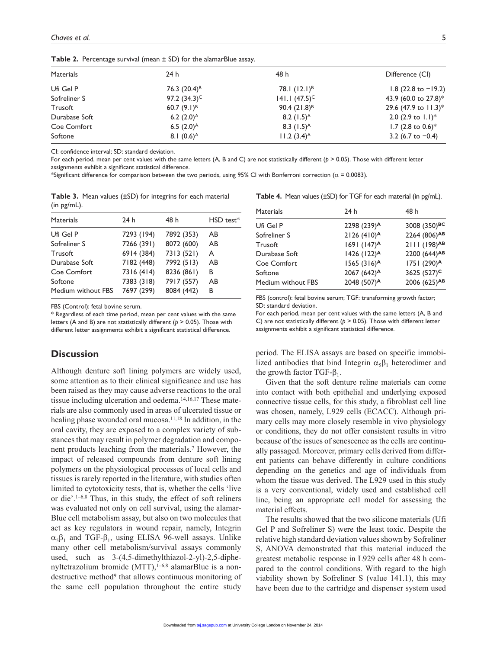| <b>Materials</b> | 24h                      | 48 h                      | Difference (CI)         |
|------------------|--------------------------|---------------------------|-------------------------|
| Ufi Gel P        | 76.3 $(20.4)^8$          | 78.1 $(12.1)^{B}$         | 1.8 (22.8 to $-19.2$ )  |
| Sofreliner S     | 97.2 $(34.3)^C$          | 141.1 $(47.5)^C$          | 43.9 (60.0 to 27.8)*    |
| Trusoft          | 60.7 $(9.1)^{B}$         | 90.4 $(21.8)^8$           | 29.6 (47.9 to $11.3$ )* |
| Durabase Soft    | 6.2 $(2.0)$ <sup>A</sup> | 8.2 $(1.5)$ <sup>A</sup>  | 2.0 (2.9 to $1.1$ )*    |
| Coe Comfort      | 6.5 $(2.0)^A$            | 8.3 $(1.5)^A$             | 1.7 (2.8 to 0.6)*       |
| Softone          | 8.1 $(0.6)^A$            | $11.2 (3.4)$ <sup>A</sup> | 3.2 (6.7 to $-0.4$ )    |
|                  |                          |                           |                         |

**Table 2.** Percentage survival (mean  $\pm$  SD) for the alamarBlue assay.

CI: confidence interval; SD: standard deviation.

For each period, mean per cent values with the same letters (A, B and C) are not statistically different (*p* > 0.05). Those with different letter assignments exhibit a significant statistical difference.

\*Significant difference for comparison between the two periods, using 95% CI with Bonferroni correction ( $\alpha$  = 0.0083).

**Table 3.** Mean values (±SD) for integrins for each material (in pg/mL).

| <b>Materials</b>   | 24h        | 48 h       | HSD test* |
|--------------------|------------|------------|-----------|
| Ufi Gel P          | 7293 (194) | 7892 (353) | AB        |
| Sofreliner S       | 7266 (391) | 8072 (600) | AB        |
| Trusoft            | 6914 (384) | 7313 (521) | A         |
| Durabase Soft      | 7182 (448) | 7992 (513) | AB        |
| Coe Comfort        | 7316 (414) | 8236 (861) | В         |
| Softone            | 7383 (318) | 7917 (557) | AB        |
| Medium without FBS | 7697 (299) | 8084 (442) | в         |

FBS (Control): fetal bovine serum.

\* Regardless of each time period, mean per cent values with the same letters (A and B) are not statistically different (*p* > 0.05). Those with different letter assignments exhibit a significant statistical difference.

# **Discussion**

Although denture soft lining polymers are widely used, some attention as to their clinical significance and use has been raised as they may cause adverse reactions to the oral tissue including ulceration and oedema.<sup>14,16,17</sup> These materials are also commonly used in areas of ulcerated tissue or healing phase wounded oral mucosa.<sup>11,18</sup> In addition, in the oral cavity, they are exposed to a complex variety of substances that may result in polymer degradation and component products leaching from the materials.7 However, the impact of released compounds from denture soft lining polymers on the physiological processes of local cells and tissues is rarely reported in the literature, with studies often limited to cytotoxicity tests, that is, whether the cells 'live or die'.1–6,8 Thus, in this study, the effect of soft reliners was evaluated not only on cell survival, using the alamar-Blue cell metabolism assay, but also on two molecules that act as key regulators in wound repair, namely, Integrin  $\alpha_5\beta_1$  and TGF- $\beta_1$ , using ELISA 96-well assays. Unlike many other cell metabolism/survival assays commonly used, such as 3-(4,5-dimethylthiazol-2-yl)-2,5-diphenyltetrazolium bromide (MTT), $1-6,8$  alamarBlue is a nondestructive method<sup>9</sup> that allows continuous monitoring of the same cell population throughout the entire study

**Table 4.** Mean values (±SD) for TGF for each material (in pg/mL).

| Materials          | 24 h                      | 48 h                     |
|--------------------|---------------------------|--------------------------|
| Ufi Gel P          | 2298 (239)A               | 3008 (350)BC             |
| Sofreliner S       | 2126 (410) <sup>A</sup>   | 2264 (806)AB             |
| Trusoft            | 1691 (147) <sup>A</sup>   | 2111 (198) <sup>AB</sup> |
| Durabase Soft      | $1426$ (122) <sup>A</sup> | 2200 (644)AB             |
| Coe Comfort        | 1565 (316) <sup>A</sup>   | 1751 (290)A              |
| Softone            | 2067 (642) <sup>A</sup>   | 3625 (527) <sup>c</sup>  |
| Medium without FBS | 2048 (507)A               | 2006 (625)AB             |
|                    |                           |                          |

FBS (control): fetal bovine serum; TGF: transforming growth factor; SD: standard deviation.

For each period, mean per cent values with the same letters (A, B and C) are not statistically different (*p* > 0.05). Those with different letter assignments exhibit a significant statistical difference.

period. The ELISA assays are based on specific immobilized antibodies that bind Integrin  $\alpha_5\beta_1$  heterodimer and the growth factor TGF- $β_1$ .

Given that the soft denture reline materials can come into contact with both epithelial and underlying exposed connective tissue cells, for this study, a fibroblast cell line was chosen, namely, L929 cells (ECACC). Although primary cells may more closely resemble in vivo physiology or conditions, they do not offer consistent results in vitro because of the issues of senescence as the cells are continually passaged. Moreover, primary cells derived from different patients can behave differently in culture conditions depending on the genetics and age of individuals from whom the tissue was derived. The L929 used in this study is a very conventional, widely used and established cell line, being an appropriate cell model for assessing the material effects.

The results showed that the two silicone materials (Ufi Gel P and Sofreliner S) were the least toxic. Despite the relative high standard deviation values shown by Sofreliner S, ANOVA demonstrated that this material induced the greatest metabolic response in L929 cells after 48 h compared to the control conditions. With regard to the high viability shown by Sofreliner S (value 141.1), this may have been due to the cartridge and dispenser system used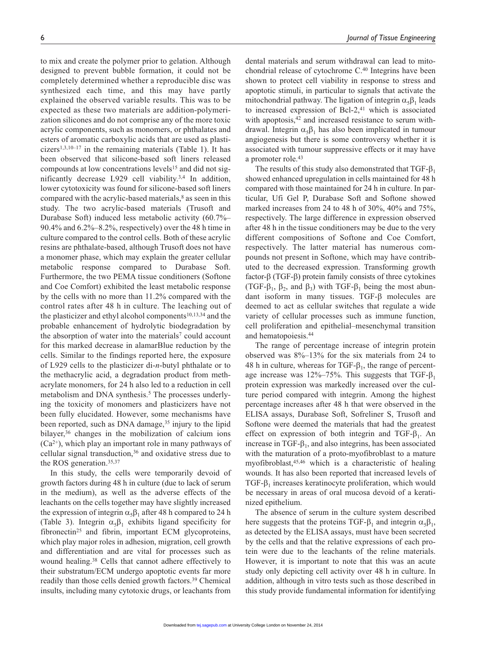to mix and create the polymer prior to gelation. Although designed to prevent bubble formation, it could not be completely determined whether a reproducible disc was synthesized each time, and this may have partly explained the observed variable results. This was to be expected as these two materials are addition-polymerization silicones and do not comprise any of the more toxic acrylic components, such as monomers, or phthalates and esters of aromatic carboxylic acids that are used as plasticizers<sup>1,3,10–17</sup> in the remaining materials (Table 1). It has been observed that silicone-based soft liners released compounds at low concentrations levels<sup>15</sup> and did not significantly decrease L929 cell viability.3,4 In addition, lower cytotoxicity was found for silicone-based soft liners compared with the acrylic-based materials,<sup>8</sup> as seen in this study. The two acrylic-based materials (Trusoft and Durabase Soft) induced less metabolic activity (60.7%– 90.4% and 6.2%–8.2%, respectively) over the 48 h time in culture compared to the control cells. Both of these acrylic resins are phthalate-based, although Trusoft does not have a monomer phase, which may explain the greater cellular metabolic response compared to Durabase Soft. Furthermore, the two PEMA tissue conditioners (Softone and Coe Comfort) exhibited the least metabolic response by the cells with no more than 11.2% compared with the control rates after 48 h in culture. The leaching out of the plasticizer and ethyl alcohol components $10,13,34$  and the probable enhancement of hydrolytic biodegradation by the absorption of water into the materials<sup>7</sup> could account for this marked decrease in alamarBlue reduction by the cells. Similar to the findings reported here, the exposure of L929 cells to the plasticizer di-*n*-butyl phthalate or to the methacrylic acid, a degradation product from methacrylate monomers, for 24 h also led to a reduction in cell metabolism and DNA synthesis.<sup>5</sup> The processes underlying the toxicity of monomers and plasticizers have not been fully elucidated. However, some mechanisms have been reported, such as DNA damage,<sup>35</sup> injury to the lipid bilayer,<sup>36</sup> changes in the mobilization of calcium ions  $(Ca^{2+})$ , which play an important role in many pathways of cellular signal transduction, $36$  and oxidative stress due to the ROS generation.35,37

In this study, the cells were temporarily devoid of growth factors during 48 h in culture (due to lack of serum in the medium), as well as the adverse effects of the leachants on the cells together may have slightly increased the expression of integrin  $\alpha_5\beta_1$  after 48 h compared to 24 h (Table 3). Integrin  $\alpha_5\beta_1$  exhibits ligand specificity for fibronectin<sup>25</sup> and fibrin, important ECM glycoproteins, which play major roles in adhesion, migration, cell growth and differentiation and are vital for processes such as wound healing.38 Cells that cannot adhere effectively to their substratum/ECM undergo apoptotic events far more readily than those cells denied growth factors.39 Chemical insults, including many cytotoxic drugs, or leachants from

dental materials and serum withdrawal can lead to mitochondrial release of cytochrome C.40 Integrins have been shown to protect cell viability in response to stress and apoptotic stimuli, in particular to signals that activate the mitochondrial pathway. The ligation of integrin  $\alpha_5\beta_1$  leads to increased expression of Bcl-2, $41$  which is associated with apoptosis,<sup>42</sup> and increased resistance to serum withdrawal. Integrin  $\alpha_5\beta_1$  has also been implicated in tumour angiogenesis but there is some controversy whether it is associated with tumour suppressive effects or it may have a promoter role.43

The results of this study also demonstrated that  $TGF-<sub>β<sub>1</sub></sub>$ showed enhanced upregulation in cells maintained for 48 h compared with those maintained for 24 h in culture. In particular, Ufi Gel P, Durabase Soft and Softone showed marked increases from 24 to 48 h of 30%, 40% and 75%, respectively. The large difference in expression observed after 48 h in the tissue conditioners may be due to the very different compositions of Softone and Coe Comfort, respectively. The latter material has numerous compounds not present in Softone, which may have contributed to the decreased expression. Transforming growth factor-β (TGF-β) protein family consists of three cytokines (TGF- $\beta_1$ ,  $\beta_2$ , and  $\beta_3$ ) with TGF- $\beta_1$  being the most abundant isoform in many tissues. TGF-β molecules are deemed to act as cellular switches that regulate a wide variety of cellular processes such as immune function, cell proliferation and epithelial–mesenchymal transition and hematopoiesis.44

The range of percentage increase of integrin protein observed was 8%–13% for the six materials from 24 to 48 h in culture, whereas for TGF- $\beta_1$ , the range of percentage increase was  $12\% - 75\%$ . This suggests that TGF- $\beta_1$ protein expression was markedly increased over the culture period compared with integrin. Among the highest percentage increases after 48 h that were observed in the ELISA assays, Durabase Soft, Sofreliner S, Trusoft and Softone were deemed the materials that had the greatest effect on expression of both integrin and TGF- $\beta_1$ . An increase in TGF- $\beta_1$ , and also integrins, has been associated with the maturation of a proto-myofibroblast to a mature myofibroblast,45,46 which is a characteristic of healing wounds. It has also been reported that increased levels of TGF- $\beta_1$  increases keratinocyte proliferation, which would be necessary in areas of oral mucosa devoid of a keratinized epithelium.

The absence of serum in the culture system described here suggests that the proteins TGF- $\beta_1$  and integrin  $\alpha_5\beta_1$ , as detected by the ELISA assays, must have been secreted by the cells and that the relative expressions of each protein were due to the leachants of the reline materials. However, it is important to note that this was an acute study only depicting cell activity over 48 h in culture. In addition, although in vitro tests such as those described in this study provide fundamental information for identifying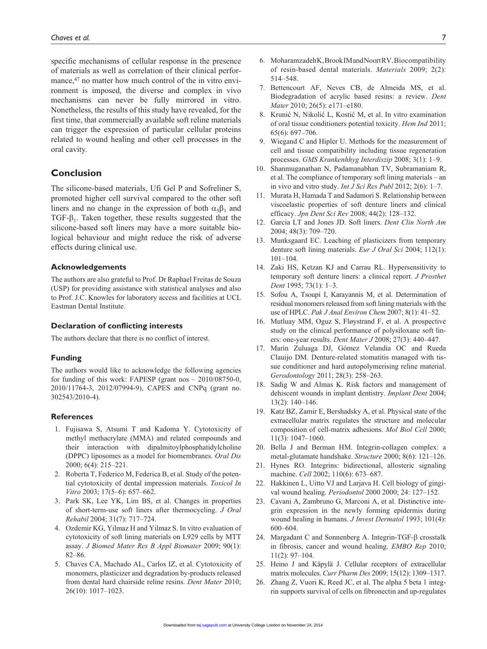specific mechanisms of cellular response in the presence of materials as well as correlation of their clinical performance,<sup>47</sup> no matter how much control of the in vitro environment is imposed, the diverse and complex in vivo mechanisms can never be fully mirrored in vitro. Nonetheless, the results of this study have revealed, for the first time, that commercially available soft reline materials can trigger the expression of particular cellular proteins related to wound healing and other cell processes in the oral cavity.

# **Conclusion**

The silicone-based materials, Ufi Gel P and Sofreliner S, promoted higher cell survival compared to the other soft liners and no change in the expression of both  $\alpha_5\beta_1$  and TGF- $\beta_1$ . Taken together, these results suggested that the silicone-based soft liners may have a more suitable biological behaviour and might reduce the risk of adverse effects during clinical use.

#### **Acknowledgements**

The authors are also grateful to Prof. Dr Raphael Freitas de Souza (USP) for providing assistance with statistical analyses and also to Prof. J.C. Knowles for laboratory access and facilities at UCL Eastman Dental Institute.

### **Declaration of conflicting interests**

The authors declare that there is no conflict of interest.

#### **Funding**

The authors would like to acknowledge the following agencies for funding of this work: FAPESP (grant nos – 2010/08750-0, 2010/11764-3, 2012/07994-9), CAPES and CNPq (grant no. 302543/2010-4).

#### **References**

- 1. Fujisawa S, Atsumi T and Kadoma Y. Cytotoxicity of methyl methacrylate (MMA) and related compounds and their interaction with dipalmitoylphosphatidylcholine (DPPC) liposomes as a model for biomembranes. *Oral Dis* 2000; 6(4): 215–221.
- 2. Roberta T, Federico M, Federica B, et al. Study of the potential cytotoxicity of dental impression materials. *Toxicol In Vitro* 2003; 17(5–6): 657–662.
- 3. Park SK, Lee YK, Lim BS, et al. Changes in properties of short-term-use soft liners after thermocycling. *J Oral Rehabil* 2004; 31(7): 717–724.
- 4. Ozdemir KG, Yilmaz H and Yilmaz S. In vitro evaluation of cytotoxicity of soft lining materials on L929 cells by MTT assay. *J Biomed Mater Res B Appl Biomater* 2009; 90(1): 82–86.
- 5. Chaves CA, Machado AL, Carlos IZ, et al. Cytotoxicity of monomers, plasticizer and degradation by-products released from dental hard chairside reline resins. *Dent Mater* 2010; 26(10): 1017–1023.
- 6. Moharamzadeh K, Brook IM and Noort RV. Biocompatibility of resin-based dental materials. *Materials* 2009; 2(2): 514–548.
- 7. Bettencourt AF, Neves CB, de Almeida MS, et al. Biodegradation of acrylic based resins: a review. *Dent Mater* 2010; 26(5): e171–e180.
- 8. Krunić N, Nikolić L, Kostić M, et al. In vitro examination of oral tissue conditioners potential toxicity. *Hem Ind* 2011; 65(6): 697–706.
- 9. Wiegand C and Hipler U. Methods for the measurement of cell and tissue compatibility including tissue regeneration processes. *GMS Krankenhhyg Interdiszip* 2008; 3(1): 1–9.
- 10. Shanmuganathan N, Padamanabhan TV, Subramaniam R, et al. The compliance of temporary soft lining materials – an in vivo and vitro study. *Int J Sci Res Publ* 2012; 2(6): 1–7.
- 11. Murata H, Hamada T and Sadamori S. Relationship between viscoelastic properties of soft denture liners and clinical efficacy. *Jpn Dent Sci Rev* 2008; 44(2): 128–132.
- 12. Garcia LT and Jones JD. Soft liners. *Dent Clin North Am* 2004; 48(3): 709–720.
- 13. Munksgaard EC. Leaching of plasticizers from temporary denture soft lining materials. *Eur J Oral Sci* 2004; 112(1): 101–104.
- 14. Zaki HS, Ketzan KJ and Carrau RL. Hypersensitivity to temporary soft denture liners: a clinical report. *J Prosthet Dent* 1995; 73(1): 1–3.
- 15. Sofou A, Tsoupi I, Karayannis M, et al. Determination of residual monomers released from soft lining materials with the use of HPLC. *Pak J Anal Environ Chem* 2007; 8(1): 41–52.
- 16. Mutluay MM, Oguz S, Fløystrand F, et al. A prospective study on the clinical performance of polysiloxane soft liners: one-year results. *Dent Mater J* 2008; 27(3): 440–447.
- 17. Marín Zuluaga DJ, Gómez Velandia OC and Rueda Clauijo DM. Denture-related stomatitis managed with tissue conditioner and hard autopolymerising reline material. *Gerodontology* 2011; 28(3): 258–263.
- 18. Sadig W and Almas K. Risk factors and management of dehiscent wounds in implant dentistry. *Implant Dent* 2004; 13(2): 140–146.
- 19. Katz BZ, Zamir E, Bershadsky A, et al. Physical state of the extracellular matrix regulates the structure and molecular composition of cell-matrix adhesions. *Mol Biol Cell* 2000; 11(3): 1047–1060.
- 20. Bella J and Berman HM. Integrin-collagen complex: a metal-glutamate handshake. *Structure* 2000; 8(6): 121–126.
- 21. Hynes RO. Integrins: bidirectional, allosteric signaling machine. *Cell* 2002; 110(6): 673–687.
- 22. Hakkinen L, Uitto VJ and Larjava H. Cell biology of gingival wound healing. *Periodontol* 2000 2000; 24: 127–152.
- 23. Cavani A, Zambruno G, Marconi A, et al. Distinctive integrin expression in the newly forming epidermis during wound healing in humans. *J Invest Dermatol* 1993; 101(4): 600–604.
- 24. Margadant C and Sonnenberg A. Integrin-TGF-β crosstalk in fibrosis, cancer and wound healing. *EMBO Rep* 2010; 11(2): 97–104.
- 25. Heino J and Käpylä J. Cellular receptors of extracellular matrix molecules. *Curr Pharm Des* 2009; 15(12): 1309–1317.
- 26. Zhang Z, Vuori K, Reed JC, et al. The alpha 5 beta 1 integrin supports survival of cells on fibronectin and up-regulates